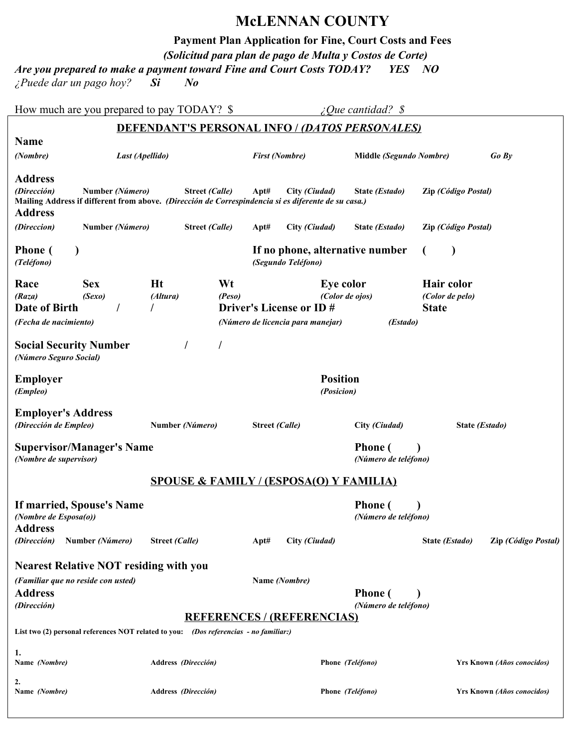## **McLENNAN COUNTY**

**Payment Plan Application for Fine, Court Costs and Fees**

*(Solicitud para plan de pago de Multa y Costos de Corte)*

*Are you prepared to make a payment toward Fine and Court Costs TODAY? YES NO* 

*¿Puede dar un pago hoy? Si No*

| How much are you prepared to pay TODAY? \$                                                                                                             |                                               |                               |                                                    |                       |                                                                                                     |                       |                                   |                                                           | ¿Que cantidad? \$                                     |                |                     |                                   |
|--------------------------------------------------------------------------------------------------------------------------------------------------------|-----------------------------------------------|-------------------------------|----------------------------------------------------|-----------------------|-----------------------------------------------------------------------------------------------------|-----------------------|-----------------------------------|-----------------------------------------------------------|-------------------------------------------------------|----------------|---------------------|-----------------------------------|
|                                                                                                                                                        |                                               |                               |                                                    |                       |                                                                                                     |                       |                                   |                                                           | <b>DEFENDANT'S PERSONAL INFO / (DATOS PERSONALES)</b> |                |                     |                                   |
| <b>Name</b>                                                                                                                                            |                                               |                               |                                                    |                       |                                                                                                     |                       |                                   |                                                           |                                                       |                |                     |                                   |
| (Nombre)                                                                                                                                               | Last (Apellido)                               |                               |                                                    |                       |                                                                                                     |                       | <b>First (Nombre)</b>             |                                                           | Middle (Segundo Nombre)                               |                |                     | $Go$ $Bv$                         |
| <b>Address</b><br>(Dirección)<br>Mailing Address if different from above. (Dirección de Correspindencia si es diferente de su casa.)<br><b>Address</b> | Number (Número)                               |                               |                                                    | <b>Street (Calle)</b> |                                                                                                     | Apt#                  | City (Ciudad)                     |                                                           | State (Estado)                                        |                | Zip (Código Postal) |                                   |
| (Direccion)                                                                                                                                            | Number (Número)                               |                               |                                                    | <b>Street (Calle)</b> |                                                                                                     | Apt#                  | City (Ciudad)                     |                                                           | State (Estado)                                        |                | Zip (Código Postal) |                                   |
| <b>Phone</b> (<br>(Teléfono)                                                                                                                           |                                               |                               |                                                    |                       |                                                                                                     |                       | (Segundo Teléfono)                |                                                           | If no phone, alternative number                       |                |                     |                                   |
| Race<br>(Raza)<br>Date of Birth<br>(Fecha de nacimiento)                                                                                               | <b>Ht</b><br><b>Sex</b><br>(Sexo)<br>(Altura) |                               |                                                    | Wt<br>(Peso)          | Eye color<br>(Color de ojos)<br><b>Driver's License or ID#</b><br>(Número de licencia para manejar) |                       |                                   | Hair color<br>(Color de pelo)<br><b>State</b><br>(Estado) |                                                       |                |                     |                                   |
| <b>Social Security Number</b><br>(Número Seguro Social)                                                                                                |                                               |                               |                                                    |                       |                                                                                                     |                       |                                   |                                                           |                                                       |                |                     |                                   |
| <b>Employer</b><br>(Empleo)                                                                                                                            |                                               | <b>Position</b><br>(Posicion) |                                                    |                       |                                                                                                     |                       |                                   |                                                           |                                                       |                |                     |                                   |
| <b>Employer's Address</b><br>(Dirección de Empleo)                                                                                                     |                                               |                               | Number (Número)                                    |                       |                                                                                                     | <b>Street (Calle)</b> |                                   |                                                           | City (Ciudad)                                         |                | State (Estado)      |                                   |
| <b>Supervisor/Manager's Name</b><br>(Nombre de supervisor)                                                                                             |                                               |                               |                                                    |                       |                                                                                                     |                       |                                   |                                                           | <b>Phone</b> (<br>(Número de teléfono)                |                |                     |                                   |
|                                                                                                                                                        |                                               |                               | <b>SPOUSE &amp; FAMILY / (ESPOSA(O) Y FAMILIA)</b> |                       |                                                                                                     |                       |                                   |                                                           |                                                       |                |                     |                                   |
| If married, Spouse's Name<br>(Nombre de Esposa(o))<br><b>Address</b>                                                                                   |                                               |                               |                                                    |                       |                                                                                                     |                       |                                   |                                                           | <b>Phone</b> (<br>(Número de teléfono)                |                |                     |                                   |
| (Dirección)                                                                                                                                            | Number (Número)                               |                               | Street (Calle)                                     |                       |                                                                                                     | Apt#                  | City (Ciudad)                     |                                                           |                                                       | State (Estado) |                     | Zip (Código Postal)               |
|                                                                                                                                                        |                                               |                               |                                                    |                       |                                                                                                     |                       |                                   |                                                           |                                                       |                |                     |                                   |
| <b>Nearest Relative NOT residing with you</b><br>(Familiar que no reside con usted)<br><b>Address</b><br>(Dirección)                                   |                                               |                               |                                                    |                       |                                                                                                     |                       | Name (Nombre)                     |                                                           | <b>Phone</b> (<br>(Número de teléfono)                |                |                     |                                   |
|                                                                                                                                                        |                                               |                               |                                                    |                       |                                                                                                     |                       | <b>REFERENCES / (REFERENCIAS)</b> |                                                           |                                                       |                |                     |                                   |
| List two (2) personal references NOT related to you: (Dos referencias - no familiar:)                                                                  |                                               |                               |                                                    |                       |                                                                                                     |                       |                                   |                                                           |                                                       |                |                     |                                   |
| 1.<br>Name (Nombre)                                                                                                                                    |                                               |                               | Address (Dirección)                                |                       |                                                                                                     |                       |                                   |                                                           | Phone (Teléfono)                                      |                |                     | <b>Yrs Known (Años conocidos)</b> |
| 2.<br>Name (Nombre)                                                                                                                                    |                                               |                               | Address (Dirección)                                |                       |                                                                                                     |                       |                                   |                                                           | Phone (Teléfono)                                      |                |                     | <b>Yrs Known (Años conocidos)</b> |